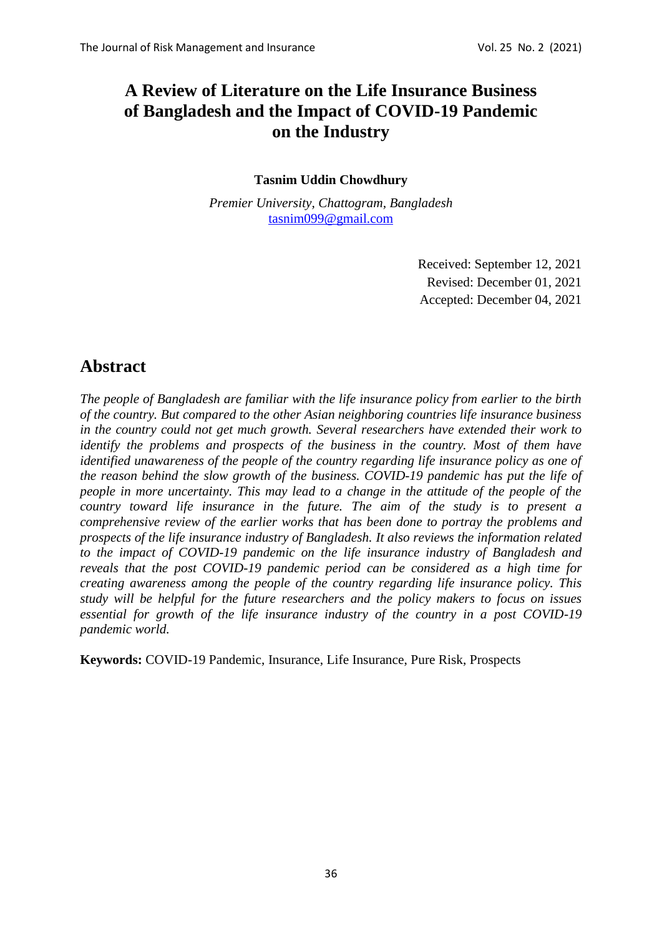# **A Review of Literature on the Life Insurance Business of Bangladesh and the Impact of COVID-19 Pandemic on the Industry**

#### **Tasnim Uddin Chowdhury**

*Premier University, Chattogram, Bangladesh* [tasnim099@gmail.com](mailto:tasnim099@gmail.com)

> Received: September 12, 2021 Revised: December 01, 2021 Accepted: December 04, 2021

# **Abstract**

*The people of Bangladesh are familiar with the life insurance policy from earlier to the birth of the country. But compared to the other Asian neighboring countries life insurance business in the country could not get much growth. Several researchers have extended their work to identify the problems and prospects of the business in the country. Most of them have identified unawareness of the people of the country regarding life insurance policy as one of the reason behind the slow growth of the business. COVID-19 pandemic has put the life of people in more uncertainty. This may lead to a change in the attitude of the people of the country toward life insurance in the future. The aim of the study is to present a comprehensive review of the earlier works that has been done to portray the problems and prospects of the life insurance industry of Bangladesh. It also reviews the information related to the impact of COVID-19 pandemic on the life insurance industry of Bangladesh and reveals that the post COVID-19 pandemic period can be considered as a high time for creating awareness among the people of the country regarding life insurance policy. This study will be helpful for the future researchers and the policy makers to focus on issues essential for growth of the life insurance industry of the country in a post COVID-19 pandemic world.* 

**Keywords:** COVID-19 Pandemic, Insurance, Life Insurance, Pure Risk, Prospects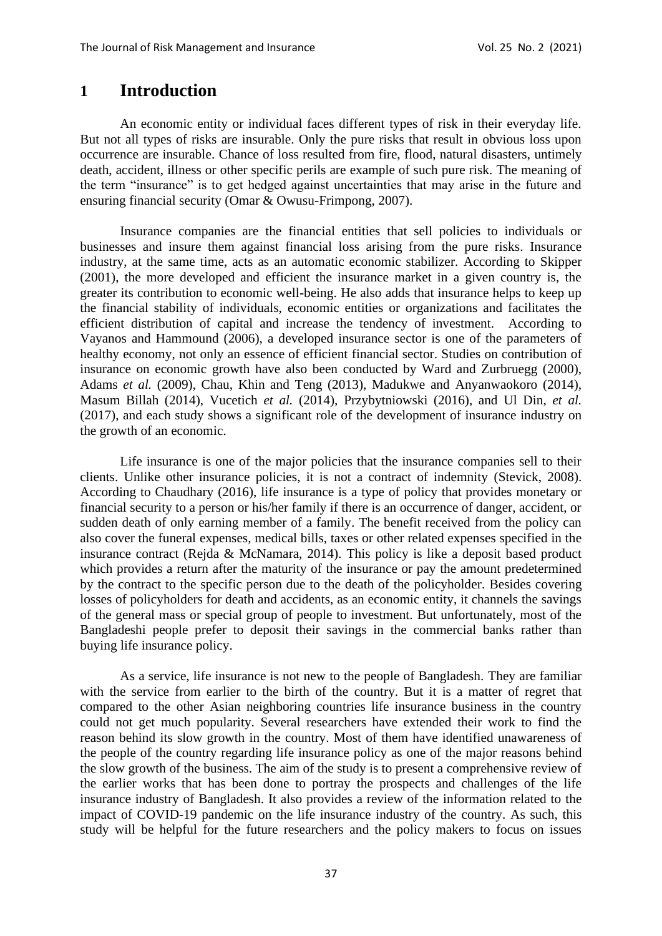### **1 Introduction**

An economic entity or individual faces different types of risk in their everyday life. But not all types of risks are insurable. Only the pure risks that result in obvious loss upon occurrence are insurable. Chance of loss resulted from fire, flood, natural disasters, untimely death, accident, illness or other specific perils are example of such pure risk. The meaning of the term "insurance" is to get hedged against uncertainties that may arise in the future and ensuring financial security (Omar & Owusu-Frimpong, 2007).

Insurance companies are the financial entities that sell policies to individuals or businesses and insure them against financial loss arising from the pure risks. Insurance industry, at the same time, acts as an automatic economic stabilizer. According to Skipper (2001), the more developed and efficient the insurance market in a given country is, the greater its contribution to economic well-being. He also adds that insurance helps to keep up the financial stability of individuals, economic entities or organizations and facilitates the efficient distribution of capital and increase the tendency of investment. According to Vayanos and Hammound (2006), a developed insurance sector is one of the parameters of healthy economy, not only an essence of efficient financial sector. Studies on contribution of insurance on economic growth have also been conducted by Ward and Zurbruegg (2000), Adams *et al.* (2009), Chau, Khin and Teng (2013), Madukwe and Anyanwaokoro (2014), Masum Billah (2014), Vucetich *et al.* (2014), Przybytniowski (2016), and Ul Din, *et al.* (2017), and each study shows a significant role of the development of insurance industry on the growth of an economic.

Life insurance is one of the major policies that the insurance companies sell to their clients. Unlike other insurance policies, it is not a contract of indemnity (Stevick, 2008). According to Chaudhary (2016), life insurance is a type of policy that provides monetary or financial security to a person or his/her family if there is an occurrence of danger, accident, or sudden death of only earning member of a family. The benefit received from the policy can also cover the funeral expenses, medical bills, taxes or other related expenses specified in the insurance contract (Rejda & McNamara, 2014). This policy is like a deposit based product which provides a return after the maturity of the insurance or pay the amount predetermined by the contract to the specific person due to the death of the policyholder. Besides covering losses of policyholders for death and accidents, as an economic entity, it channels the savings of the general mass or special group of people to investment. But unfortunately, most of the Bangladeshi people prefer to deposit their savings in the commercial banks rather than buying life insurance policy.

As a service, life insurance is not new to the people of Bangladesh. They are familiar with the service from earlier to the birth of the country. But it is a matter of regret that compared to the other Asian neighboring countries life insurance business in the country could not get much popularity. Several researchers have extended their work to find the reason behind its slow growth in the country. Most of them have identified unawareness of the people of the country regarding life insurance policy as one of the major reasons behind the slow growth of the business. The aim of the study is to present a comprehensive review of the earlier works that has been done to portray the prospects and challenges of the life insurance industry of Bangladesh. It also provides a review of the information related to the impact of COVID-19 pandemic on the life insurance industry of the country. As such, this study will be helpful for the future researchers and the policy makers to focus on issues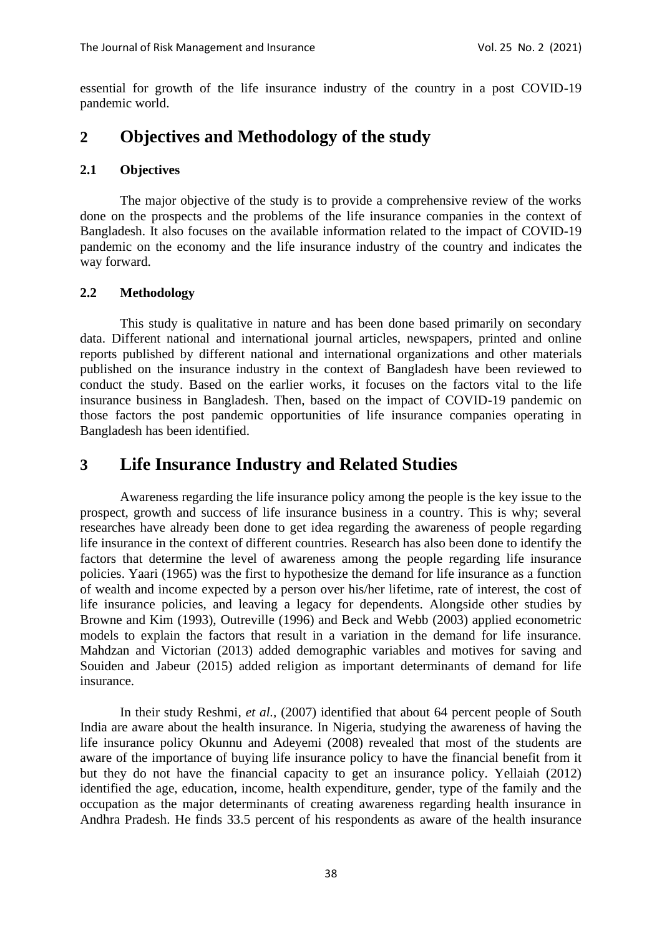essential for growth of the life insurance industry of the country in a post COVID-19 pandemic world.

## **2 Objectives and Methodology of the study**

#### **2.1 Objectives**

The major objective of the study is to provide a comprehensive review of the works done on the prospects and the problems of the life insurance companies in the context of Bangladesh. It also focuses on the available information related to the impact of COVID-19 pandemic on the economy and the life insurance industry of the country and indicates the way forward.

#### **2.2 Methodology**

This study is qualitative in nature and has been done based primarily on secondary data. Different national and international journal articles, newspapers, printed and online reports published by different national and international organizations and other materials published on the insurance industry in the context of Bangladesh have been reviewed to conduct the study. Based on the earlier works, it focuses on the factors vital to the life insurance business in Bangladesh. Then, based on the impact of COVID-19 pandemic on those factors the post pandemic opportunities of life insurance companies operating in Bangladesh has been identified.

### **3 Life Insurance Industry and Related Studies**

Awareness regarding the life insurance policy among the people is the key issue to the prospect, growth and success of life insurance business in a country. This is why; several researches have already been done to get idea regarding the awareness of people regarding life insurance in the context of different countries. Research has also been done to identify the factors that determine the level of awareness among the people regarding life insurance policies. Yaari (1965) was the first to hypothesize the demand for life insurance as a function of wealth and income expected by a person over his/her lifetime, rate of interest, the cost of life insurance policies, and leaving a legacy for dependents. Alongside other studies by Browne and Kim (1993), Outreville (1996) and Beck and Webb (2003) applied econometric models to explain the factors that result in a variation in the demand for life insurance. Mahdzan and Victorian (2013) added demographic variables and motives for saving and Souiden and Jabeur (2015) added religion as important determinants of demand for life insurance.

In their study Reshmi, *et al.,* (2007) identified that about 64 percent people of South India are aware about the health insurance. In Nigeria, studying the awareness of having the life insurance policy Okunnu and Adeyemi (2008) revealed that most of the students are aware of the importance of buying life insurance policy to have the financial benefit from it but they do not have the financial capacity to get an insurance policy. Yellaiah (2012) identified the age, education, income, health expenditure, gender, type of the family and the occupation as the major determinants of creating awareness regarding health insurance in Andhra Pradesh. He finds 33.5 percent of his respondents as aware of the health insurance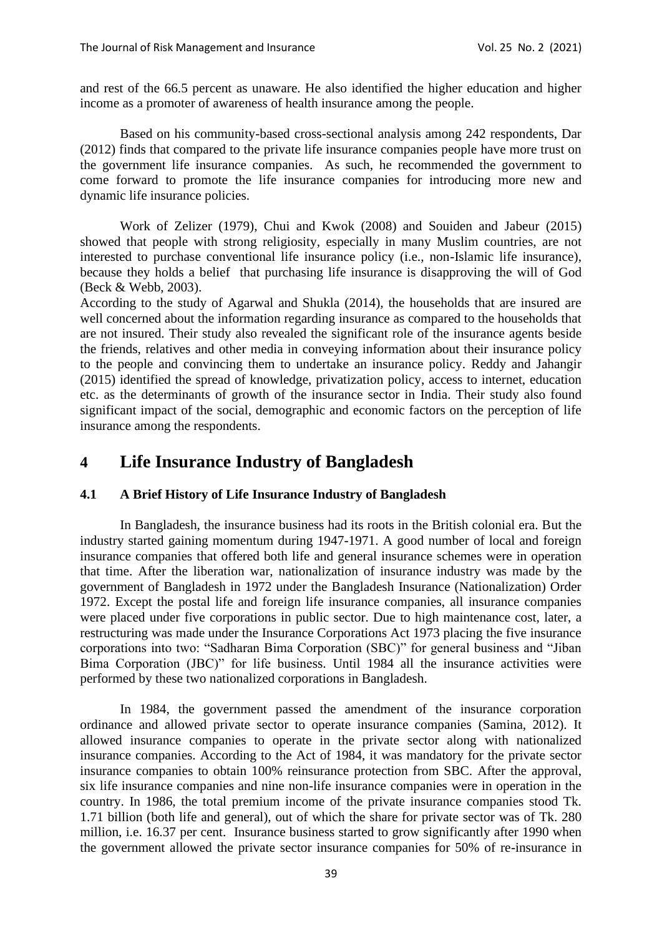and rest of the 66.5 percent as unaware. He also identified the higher education and higher income as a promoter of awareness of health insurance among the people.

Based on his community-based cross-sectional analysis among 242 respondents, Dar (2012) finds that compared to the private life insurance companies people have more trust on the government life insurance companies. As such, he recommended the government to come forward to promote the life insurance companies for introducing more new and dynamic life insurance policies.

Work of Zelizer (1979), Chui and Kwok (2008) and Souiden and Jabeur (2015) showed that people with strong religiosity, especially in many Muslim countries, are not interested to purchase conventional life insurance policy (i.e., non-Islamic life insurance), because they holds a belief that purchasing life insurance is disapproving the will of God (Beck & Webb, 2003).

According to the study of Agarwal and Shukla (2014), the households that are insured are well concerned about the information regarding insurance as compared to the households that are not insured. Their study also revealed the significant role of the insurance agents beside the friends, relatives and other media in conveying information about their insurance policy to the people and convincing them to undertake an insurance policy. Reddy and Jahangir (2015) identified the spread of knowledge, privatization policy, access to internet, education etc. as the determinants of growth of the insurance sector in India. Their study also found significant impact of the social, demographic and economic factors on the perception of life insurance among the respondents.

## **4 Life Insurance Industry of Bangladesh**

#### **4.1 A Brief History of Life Insurance Industry of Bangladesh**

In Bangladesh, the insurance business had its roots in the British colonial era. But the industry started gaining momentum during 1947-1971. A good number of local and foreign insurance companies that offered both life and general insurance schemes were in operation that time. After the liberation war, nationalization of insurance industry was made by the government of Bangladesh in 1972 under the Bangladesh Insurance (Nationalization) Order 1972. Except the postal life and foreign life insurance companies, all insurance companies were placed under five corporations in public sector. Due to high maintenance cost, later, a restructuring was made under the Insurance Corporations Act 1973 placing the five insurance corporations into two: "Sadharan Bima Corporation (SBC)" for general business and "Jiban Bima Corporation (JBC)" for life business. Until 1984 all the insurance activities were performed by these two nationalized corporations in Bangladesh.

In 1984, the government passed the amendment of the insurance corporation ordinance and allowed private sector to operate insurance companies (Samina, 2012). It allowed insurance companies to operate in the private sector along with nationalized insurance companies. According to the Act of 1984, it was mandatory for the private sector insurance companies to obtain 100% reinsurance protection from SBC. After the approval, six life insurance companies and nine non-life insurance companies were in operation in the country. In 1986, the total premium income of the private insurance companies stood Tk. 1.71 billion (both life and general), out of which the share for private sector was of Tk. 280 million, i.e. 16.37 per cent. Insurance business started to grow significantly after 1990 when the government allowed the private sector insurance companies for 50% of re-insurance in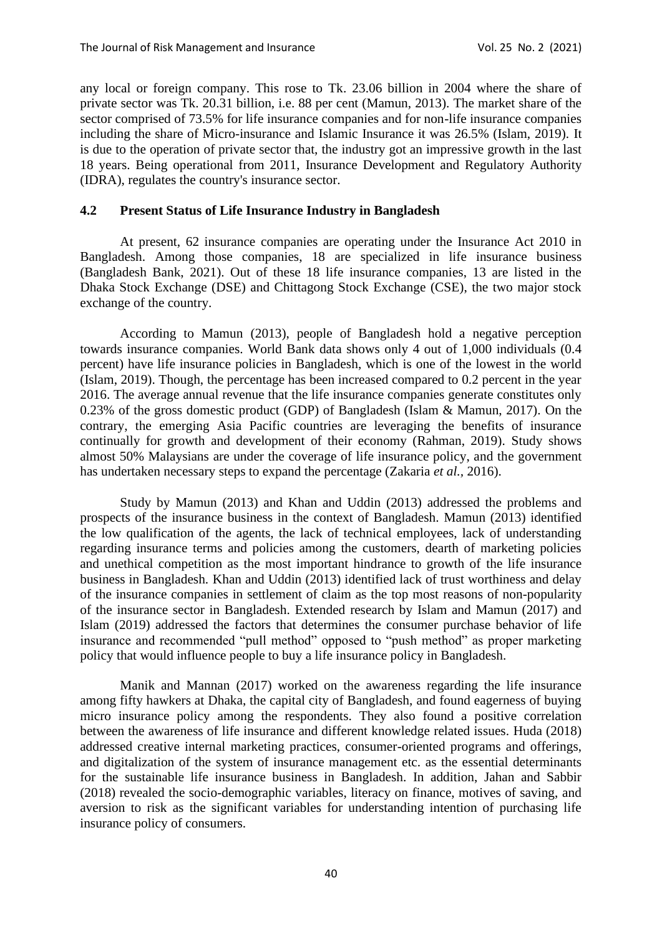any local or foreign company. This rose to Tk. 23.06 billion in 2004 where the share of private sector was Tk. 20.31 billion, i.e. 88 per cent (Mamun, 2013). The market share of the sector comprised of 73.5% for life insurance companies and for non-life insurance companies including the share of Micro-insurance and Islamic Insurance it was 26.5% (Islam, 2019). It is due to the operation of private sector that, the industry got an impressive growth in the last 18 years. Being operational from 2011, Insurance Development and Regulatory Authority (IDRA), regulates the country's insurance sector.

#### **4.2 Present Status of Life Insurance Industry in Bangladesh**

At present, 62 insurance companies are operating under the Insurance Act 2010 in Bangladesh. Among those companies, 18 are specialized in life insurance business (Bangladesh Bank, 2021). Out of these 18 life insurance companies, 13 are listed in the Dhaka Stock Exchange (DSE) and Chittagong Stock Exchange (CSE), the two major stock exchange of the country.

According to Mamun (2013), people of Bangladesh hold a negative perception towards insurance companies. World Bank data shows only 4 out of 1,000 individuals (0.4 percent) have life insurance policies in Bangladesh, which is one of the lowest in the world (Islam, 2019). Though, the percentage has been increased compared to 0.2 percent in the year 2016. The average annual revenue that the life insurance companies generate constitutes only 0.23% of the gross domestic product (GDP) of Bangladesh (Islam & Mamun, 2017). On the contrary, the emerging Asia Pacific countries are leveraging the benefits of insurance continually for growth and development of their economy (Rahman, 2019). Study shows almost 50% Malaysians are under the coverage of life insurance policy, and the government has undertaken necessary steps to expand the percentage (Zakaria *et al.,* 2016).

Study by Mamun (2013) and Khan and Uddin (2013) addressed the problems and prospects of the insurance business in the context of Bangladesh. Mamun (2013) identified the low qualification of the agents, the lack of technical employees, lack of understanding regarding insurance terms and policies among the customers, dearth of marketing policies and unethical competition as the most important hindrance to growth of the life insurance business in Bangladesh. Khan and Uddin (2013) identified lack of trust worthiness and delay of the insurance companies in settlement of claim as the top most reasons of non-popularity of the insurance sector in Bangladesh. Extended research by Islam and Mamun (2017) and Islam (2019) addressed the factors that determines the consumer purchase behavior of life insurance and recommended "pull method" opposed to "push method" as proper marketing policy that would influence people to buy a life insurance policy in Bangladesh.

Manik and Mannan (2017) worked on the awareness regarding the life insurance among fifty hawkers at Dhaka, the capital city of Bangladesh, and found eagerness of buying micro insurance policy among the respondents. They also found a positive correlation between the awareness of life insurance and different knowledge related issues. Huda (2018) addressed creative internal marketing practices, consumer-oriented programs and offerings, and digitalization of the system of insurance management etc. as the essential determinants for the sustainable life insurance business in Bangladesh. In addition, Jahan and Sabbir (2018) revealed the socio-demographic variables, literacy on finance, motives of saving, and aversion to risk as the significant variables for understanding intention of purchasing life insurance policy of consumers.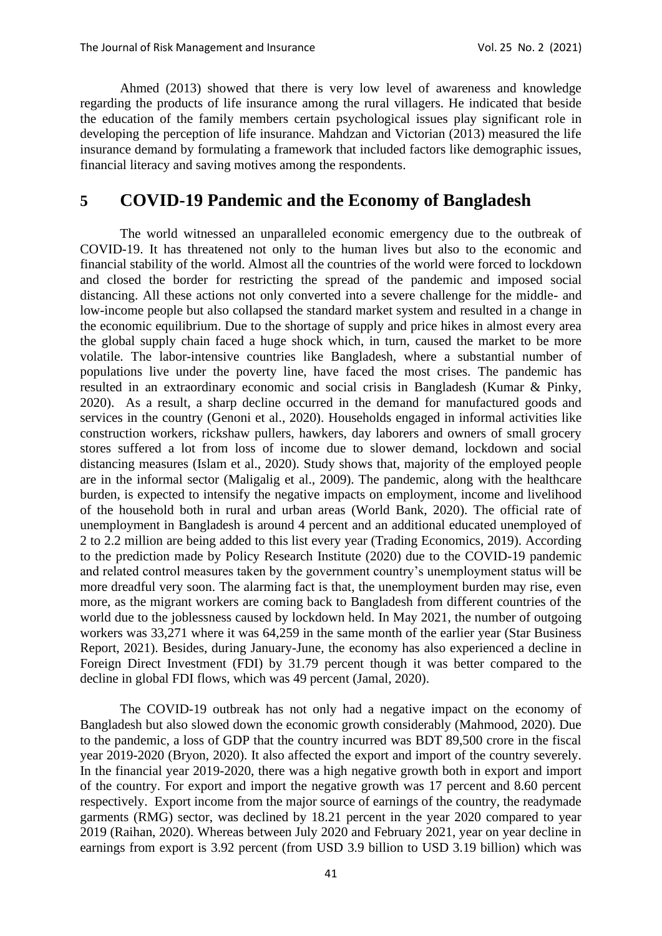Ahmed (2013) showed that there is very low level of awareness and knowledge regarding the products of life insurance among the rural villagers. He indicated that beside the education of the family members certain psychological issues play significant role in developing the perception of life insurance. Mahdzan and Victorian (2013) measured the life insurance demand by formulating a framework that included factors like demographic issues, financial literacy and saving motives among the respondents.

## **5 COVID-19 Pandemic and the Economy of Bangladesh**

The world witnessed an unparalleled economic emergency due to the outbreak of COVID-19. It has threatened not only to the human lives but also to the economic and financial stability of the world. Almost all the countries of the world were forced to lockdown and closed the border for restricting the spread of the pandemic and imposed social distancing. All these actions not only converted into a severe challenge for the middle- and low-income people but also collapsed the standard market system and resulted in a change in the economic equilibrium. Due to the shortage of supply and price hikes in almost every area the global supply chain faced a huge shock which, in turn, caused the market to be more volatile. The labor-intensive countries like Bangladesh, where a substantial number of populations live under the poverty line, have faced the most crises. The pandemic has resulted in an extraordinary economic and social crisis in Bangladesh (Kumar & Pinky, 2020). As a result, a sharp decline occurred in the demand for manufactured goods and services in the country (Genoni et al., 2020). Households engaged in informal activities like construction workers, rickshaw pullers, hawkers, day laborers and owners of small grocery stores suffered a lot from loss of income due to slower demand, lockdown and social distancing measures (Islam et al., 2020). Study shows that, majority of the employed people are in the informal sector (Maligalig et al., 2009). The pandemic, along with the healthcare burden, is expected to intensify the negative impacts on employment, income and livelihood of the household both in rural and urban areas (World Bank, 2020). The official rate of unemployment in Bangladesh is around 4 percent and an additional educated unemployed of 2 to 2.2 million are being added to this list every year (Trading Economics, 2019). According to the prediction made by Policy Research Institute (2020) due to the COVID-19 pandemic and related control measures taken by the government country's unemployment status will be more dreadful very soon. The alarming fact is that, the unemployment burden may rise, even more, as the migrant workers are coming back to Bangladesh from different countries of the world due to the joblessness caused by lockdown held. In May 2021, the number of outgoing workers was 33,271 where it was 64,259 in the same month of the earlier year (Star Business Report, 2021). Besides, during January-June, the economy has also experienced a decline in Foreign Direct Investment (FDI) by 31.79 percent though it was better compared to the decline in global FDI flows, which was 49 percent (Jamal, 2020).

The COVID-19 outbreak has not only had a negative impact on the economy of Bangladesh but also slowed down the economic growth considerably (Mahmood, 2020). Due to the pandemic, a loss of GDP that the country incurred was BDT 89,500 crore in the fiscal year 2019-2020 (Bryon, 2020). It also affected the export and import of the country severely. In the financial year 2019-2020, there was a high negative growth both in export and import of the country. For export and import the negative growth was 17 percent and 8.60 percent respectively. Export income from the major source of earnings of the country, the readymade garments (RMG) sector, was declined by 18.21 percent in the year 2020 compared to year 2019 (Raihan, 2020). Whereas between July 2020 and February 2021, year on year decline in earnings from export is 3.92 percent (from USD 3.9 billion to USD 3.19 billion) which was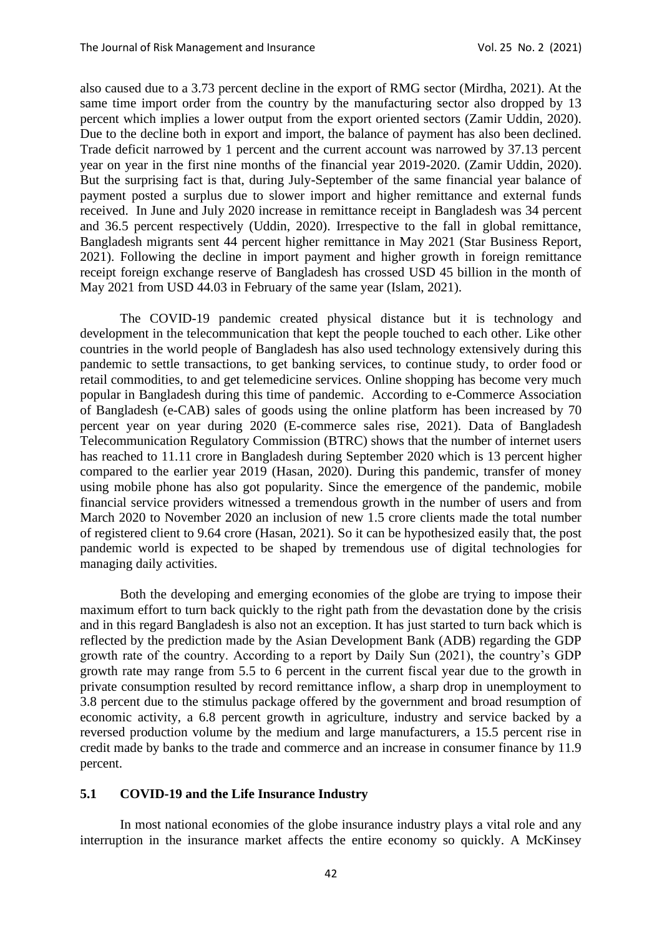also caused due to a 3.73 percent decline in the export of RMG sector (Mirdha, 2021). At the same time import order from the country by the manufacturing sector also dropped by 13 percent which implies a lower output from the export oriented sectors (Zamir Uddin, 2020). Due to the decline both in export and import, the balance of payment has also been declined. Trade deficit narrowed by 1 percent and the current account was narrowed by 37.13 percent year on year in the first nine months of the financial year 2019-2020. (Zamir Uddin, 2020). But the surprising fact is that, during July-September of the same financial year balance of payment posted a surplus due to slower import and higher remittance and external funds received. In June and July 2020 increase in remittance receipt in Bangladesh was 34 percent and 36.5 percent respectively (Uddin, 2020). Irrespective to the fall in global remittance, Bangladesh migrants sent 44 percent higher remittance in May 2021 (Star Business Report, 2021). Following the decline in import payment and higher growth in foreign remittance receipt foreign exchange reserve of Bangladesh has crossed USD 45 billion in the month of May 2021 from USD 44.03 in February of the same year (Islam, 2021).

The COVID-19 pandemic created physical distance but it is technology and development in the telecommunication that kept the people touched to each other. Like other countries in the world people of Bangladesh has also used technology extensively during this pandemic to settle transactions, to get banking services, to continue study, to order food or retail commodities, to and get telemedicine services. Online shopping has become very much popular in Bangladesh during this time of pandemic. According to e-Commerce Association of Bangladesh (e-CAB) sales of goods using the online platform has been increased by 70 percent year on year during 2020 (E-commerce sales rise, 2021). Data of Bangladesh Telecommunication Regulatory Commission (BTRC) shows that the number of internet users has reached to 11.11 crore in Bangladesh during September 2020 which is 13 percent higher compared to the earlier year 2019 (Hasan, 2020). During this pandemic, transfer of money using mobile phone has also got popularity. Since the emergence of the pandemic, mobile financial service providers witnessed a tremendous growth in the number of users and from March 2020 to November 2020 an inclusion of new 1.5 crore clients made the total number of registered client to 9.64 crore (Hasan, 2021). So it can be hypothesized easily that, the post pandemic world is expected to be shaped by tremendous use of digital technologies for managing daily activities.

Both the developing and emerging economies of the globe are trying to impose their maximum effort to turn back quickly to the right path from the devastation done by the crisis and in this regard Bangladesh is also not an exception. It has just started to turn back which is reflected by the prediction made by the Asian Development Bank (ADB) regarding the GDP growth rate of the country. According to a report by Daily Sun (2021), the country's GDP growth rate may range from 5.5 to 6 percent in the current fiscal year due to the growth in private consumption resulted by record remittance inflow, a sharp drop in unemployment to 3.8 percent due to the stimulus package offered by the government and broad resumption of economic activity, a 6.8 percent growth in agriculture, industry and service backed by a reversed production volume by the medium and large manufacturers, a 15.5 percent rise in credit made by banks to the trade and commerce and an increase in consumer finance by 11.9 percent.

#### **5.1 COVID-19 and the Life Insurance Industry**

In most national economies of the globe insurance industry plays a vital role and any interruption in the insurance market affects the entire economy so quickly. A McKinsey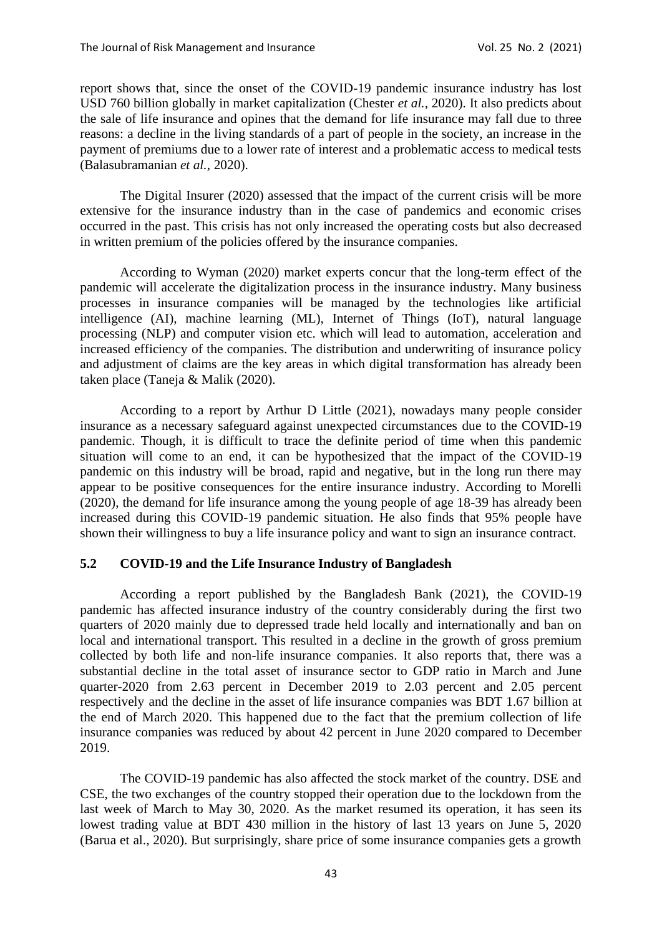report shows that, since the onset of the COVID-19 pandemic insurance industry has lost USD 760 billion globally in market capitalization (Chester *et al.,* 2020). It also predicts about the sale of life insurance and opines that the demand for life insurance may fall due to three reasons: a decline in the living standards of a part of people in the society, an increase in the payment of premiums due to a lower rate of interest and a problematic access to medical tests (Balasubramanian *et al.,* 2020).

The Digital Insurer (2020) assessed that the impact of the current crisis will be more extensive for the insurance industry than in the case of pandemics and economic crises occurred in the past. This crisis has not only increased the operating costs but also decreased in written premium of the policies offered by the insurance companies.

According to Wyman (2020) market experts concur that the long-term effect of the pandemic will accelerate the digitalization process in the insurance industry. Many business processes in insurance companies will be managed by the technologies like artificial intelligence (AI), machine learning (ML), Internet of Things (IoT), natural language processing (NLP) and computer vision etc. which will lead to automation, acceleration and increased efficiency of the companies. The distribution and underwriting of insurance policy and adjustment of claims are the key areas in which digital transformation has already been taken place (Taneja & Malik (2020).

According to a report by Arthur D Little (2021), nowadays many people consider insurance as a necessary safeguard against unexpected circumstances due to the COVID-19 pandemic. Though, it is difficult to trace the definite period of time when this pandemic situation will come to an end, it can be hypothesized that the impact of the COVID-19 pandemic on this industry will be broad, rapid and negative, but in the long run there may appear to be positive consequences for the entire insurance industry. According to Morelli (2020), the demand for life insurance among the young people of age 18-39 has already been increased during this COVID-19 pandemic situation. He also finds that 95% people have shown their willingness to buy a life insurance policy and want to sign an insurance contract.

#### **5.2 COVID-19 and the Life Insurance Industry of Bangladesh**

According a report published by the Bangladesh Bank (2021), the COVID-19 pandemic has affected insurance industry of the country considerably during the first two quarters of 2020 mainly due to depressed trade held locally and internationally and ban on local and international transport. This resulted in a decline in the growth of gross premium collected by both life and non-life insurance companies. It also reports that, there was a substantial decline in the total asset of insurance sector to GDP ratio in March and June quarter-2020 from 2.63 percent in December 2019 to 2.03 percent and 2.05 percent respectively and the decline in the asset of life insurance companies was BDT 1.67 billion at the end of March 2020. This happened due to the fact that the premium collection of life insurance companies was reduced by about 42 percent in June 2020 compared to December 2019.

The COVID-19 pandemic has also affected the stock market of the country. DSE and CSE, the two exchanges of the country stopped their operation due to the lockdown from the last week of March to May 30, 2020. As the market resumed its operation, it has seen its lowest trading value at BDT 430 million in the history of last 13 years on June 5, 2020 (Barua et al., 2020). But surprisingly, share price of some insurance companies gets a growth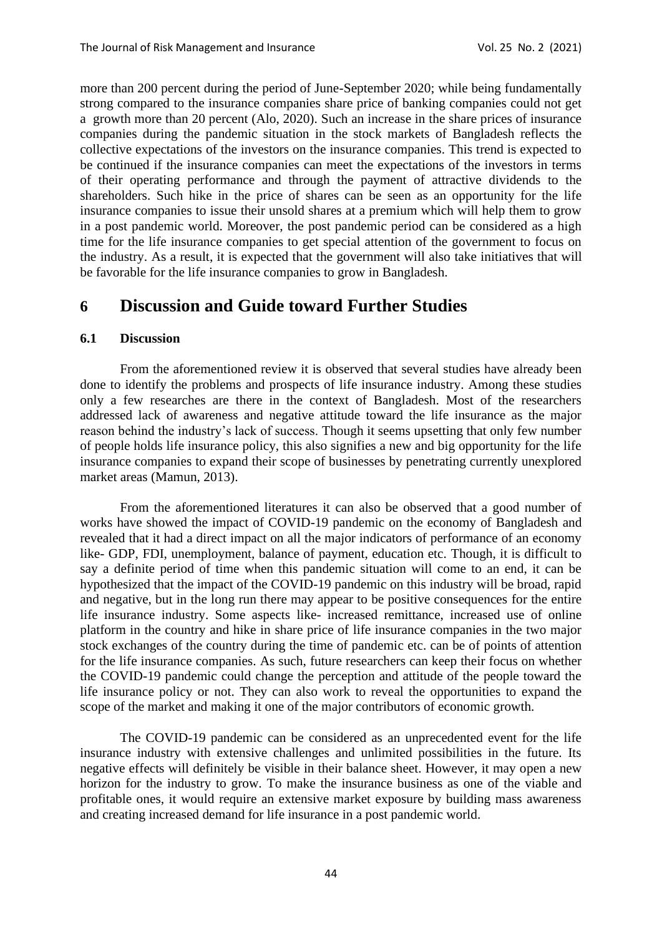more than 200 percent during the period of June-September 2020; while being fundamentally strong compared to the insurance companies share price of banking companies could not get a growth more than 20 percent (Alo, 2020). Such an increase in the share prices of insurance companies during the pandemic situation in the stock markets of Bangladesh reflects the collective expectations of the investors on the insurance companies. This trend is expected to be continued if the insurance companies can meet the expectations of the investors in terms of their operating performance and through the payment of attractive dividends to the shareholders. Such hike in the price of shares can be seen as an opportunity for the life insurance companies to issue their unsold shares at a premium which will help them to grow in a post pandemic world. Moreover, the post pandemic period can be considered as a high time for the life insurance companies to get special attention of the government to focus on the industry. As a result, it is expected that the government will also take initiatives that will be favorable for the life insurance companies to grow in Bangladesh.

# **6 Discussion and Guide toward Further Studies**

### **6.1 Discussion**

From the aforementioned review it is observed that several studies have already been done to identify the problems and prospects of life insurance industry. Among these studies only a few researches are there in the context of Bangladesh. Most of the researchers addressed lack of awareness and negative attitude toward the life insurance as the major reason behind the industry's lack of success. Though it seems upsetting that only few number of people holds life insurance policy, this also signifies a new and big opportunity for the life insurance companies to expand their scope of businesses by penetrating currently unexplored market areas (Mamun, 2013).

From the aforementioned literatures it can also be observed that a good number of works have showed the impact of COVID-19 pandemic on the economy of Bangladesh and revealed that it had a direct impact on all the major indicators of performance of an economy like- GDP, FDI, unemployment, balance of payment, education etc. Though, it is difficult to say a definite period of time when this pandemic situation will come to an end, it can be hypothesized that the impact of the COVID-19 pandemic on this industry will be broad, rapid and negative, but in the long run there may appear to be positive consequences for the entire life insurance industry. Some aspects like- increased remittance, increased use of online platform in the country and hike in share price of life insurance companies in the two major stock exchanges of the country during the time of pandemic etc. can be of points of attention for the life insurance companies. As such, future researchers can keep their focus on whether the COVID-19 pandemic could change the perception and attitude of the people toward the life insurance policy or not. They can also work to reveal the opportunities to expand the scope of the market and making it one of the major contributors of economic growth.

The COVID-19 pandemic can be considered as an unprecedented event for the life insurance industry with extensive challenges and unlimited possibilities in the future. Its negative effects will definitely be visible in their balance sheet. However, it may open a new horizon for the industry to grow. To make the insurance business as one of the viable and profitable ones, it would require an extensive market exposure by building mass awareness and creating increased demand for life insurance in a post pandemic world.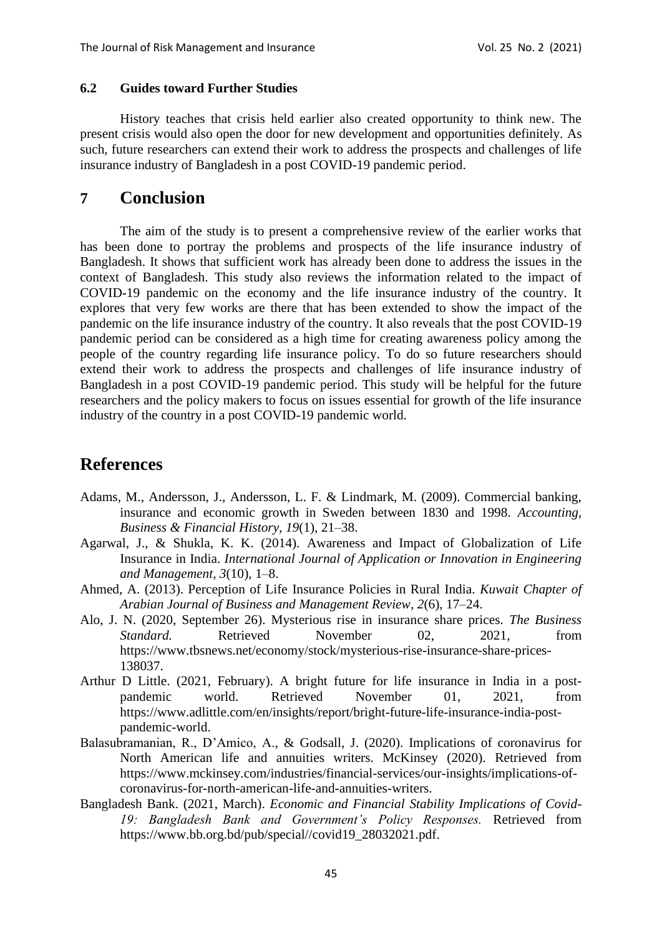#### **6.2 Guides toward Further Studies**

History teaches that crisis held earlier also created opportunity to think new. The present crisis would also open the door for new development and opportunities definitely. As such, future researchers can extend their work to address the prospects and challenges of life insurance industry of Bangladesh in a post COVID-19 pandemic period.

### **7 Conclusion**

The aim of the study is to present a comprehensive review of the earlier works that has been done to portray the problems and prospects of the life insurance industry of Bangladesh. It shows that sufficient work has already been done to address the issues in the context of Bangladesh. This study also reviews the information related to the impact of COVID-19 pandemic on the economy and the life insurance industry of the country. It explores that very few works are there that has been extended to show the impact of the pandemic on the life insurance industry of the country. It also reveals that the post COVID-19 pandemic period can be considered as a high time for creating awareness policy among the people of the country regarding life insurance policy. To do so future researchers should extend their work to address the prospects and challenges of life insurance industry of Bangladesh in a post COVID-19 pandemic period. This study will be helpful for the future researchers and the policy makers to focus on issues essential for growth of the life insurance industry of the country in a post COVID-19 pandemic world.

### **References**

- Adams, M., Andersson, J., Andersson, L. F. & Lindmark, M. (2009). Commercial banking, insurance and economic growth in Sweden between 1830 and 1998. *Accounting, Business & Financial History, 19*(1), 21–38.
- Agarwal, J., & Shukla, K. K. (2014). Awareness and Impact of Globalization of Life Insurance in India. *International Journal of Application or Innovation in Engineering and Management*, *3*(10), 1–8.
- Ahmed, A. (2013). Perception of Life Insurance Policies in Rural India. *Kuwait Chapter of Arabian Journal of Business and Management Review*, *2*(6), 17–24.
- Alo, J. N. (2020, September 26). Mysterious rise in insurance share prices. *The Business Standard.* Retrieved November 02, 2021, from https://www.tbsnews.net/economy/stock/mysterious-rise-insurance-share-prices-138037.
- Arthur D Little. (2021, February). A bright future for life insurance in India in a postpandemic world. Retrieved November 01, 2021, from https://www.adlittle.com/en/insights/report/bright-future-life-insurance-india-postpandemic-world.
- Balasubramanian, R., D'Amico, A., & Godsall, J. (2020). Implications of coronavirus for North American life and annuities writers. McKinsey (2020). Retrieved from https://www.mckinsey.com/industries/financial-services/our-insights/implications-ofcoronavirus-for-north-american-life-and-annuities-writers.
- Bangladesh Bank. (2021, March). *Economic and Financial Stability Implications of Covid-19: Bangladesh Bank and Government's Policy Responses.* Retrieved from https://www.bb.org.bd/pub/special//covid19\_28032021.pdf.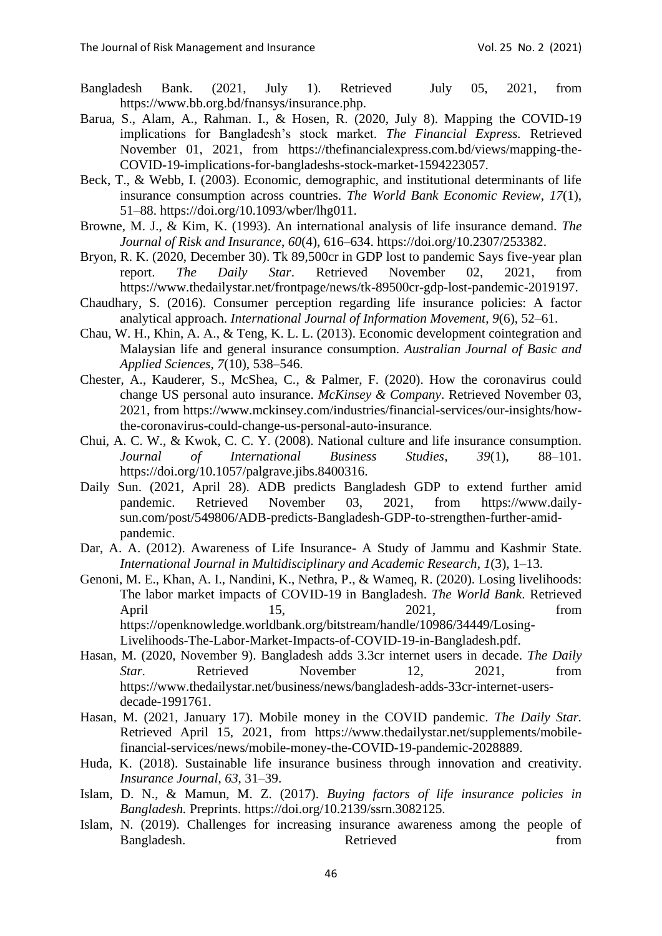- Bangladesh Bank. (2021, July 1). Retrieved July 05, 2021, from https://www.bb.org.bd/fnansys/insurance.php.
- Barua, S., Alam, A., Rahman. I., & Hosen, R. (2020, July 8). Mapping the COVID-19 implications for Bangladesh's stock market. *The Financial Express.* Retrieved November 01, 2021, from https://thefinancialexpress.com.bd/views/mapping-the-COVID-19-implications-for-bangladeshs-stock-market-1594223057.
- Beck, T., & Webb, I. (2003). Economic, demographic, and institutional determinants of life insurance consumption across countries. *The World Bank Economic Review*, *17*(1), 51–88. https://doi.org/10.1093/wber/lhg011.
- Browne, M. J., & Kim, K. (1993). An international analysis of life insurance demand. *The Journal of Risk and Insurance*, *60*(4), 616–634. https://doi.org/10.2307/253382.
- Bryon, R. K. (2020, December 30). Tk 89,500cr in GDP lost to pandemic Says five-year plan report. *The Daily Star*. Retrieved November 02, 2021, from https://www.thedailystar.net/frontpage/news/tk-89500cr-gdp-lost-pandemic-2019197.
- Chaudhary, S. (2016). Consumer perception regarding life insurance policies: A factor analytical approach. *International Journal of Information Movement*, *9*(6), 52–61.
- Chau, W. H., Khin, A. A., & Teng, K. L. L. (2013). Economic development cointegration and Malaysian life and general insurance consumption. *Australian Journal of Basic and Applied Sciences*, *7*(10), 538–546.
- Chester, A., Kauderer, S., McShea, C., & Palmer, F. (2020). How the coronavirus could change US personal auto insurance. *McKinsey & Company*. Retrieved November 03, 2021, from https://www.mckinsey.com/industries/financial-services/our-insights/howthe-coronavirus-could-change-us-personal-auto-insurance.
- Chui, A. C. W., & Kwok, C. C. Y. (2008). National culture and life insurance consumption. *Journal of International Business Studies*, *39*(1), 88–101. https://doi.org/10.1057/palgrave.jibs.8400316.
- Daily Sun. (2021, April 28). ADB predicts Bangladesh GDP to extend further amid pandemic. Retrieved November 03, 2021, from https://www.dailysun.com/post/549806/ADB-predicts-Bangladesh-GDP-to-strengthen-further-amidpandemic.
- Dar, A. A. (2012). Awareness of Life Insurance- A Study of Jammu and Kashmir State. *International Journal in Multidisciplinary and Academic Research*, *1*(3), 1–13.
- Genoni, M. E., Khan, A. I., Nandini, K., Nethra, P., & Wameq, R. (2020). Losing livelihoods: The labor market impacts of COVID-19 in Bangladesh. *The World Bank*. Retrieved April 15, 2021, from https://openknowledge.worldbank.org/bitstream/handle/10986/34449/Losing-Livelihoods-The-Labor-Market-Impacts-of-COVID-19-in-Bangladesh.pdf.
- Hasan, M. (2020, November 9). Bangladesh adds 3.3cr internet users in decade. *The Daily Star.* Retrieved November 12, 2021, from https://www.thedailystar.net/business/news/bangladesh-adds-33cr-internet-usersdecade-1991761.
- Hasan, M. (2021, January 17). Mobile money in the COVID pandemic. *The Daily Star.* Retrieved April 15, 2021, from https://www.thedailystar.net/supplements/mobilefinancial-services/news/mobile-money-the-COVID-19-pandemic-2028889.
- Huda, K. (2018). Sustainable life insurance business through innovation and creativity. *Insurance Journal*, *63*, 31–39.
- Islam, D. N., & Mamun, M. Z. (2017). *Buying factors of life insurance policies in Bangladesh.* Preprints. https://doi.org/10.2139/ssrn.3082125.
- Islam, N. (2019). Challenges for increasing insurance awareness among the people of Bangladesh. Retrieved from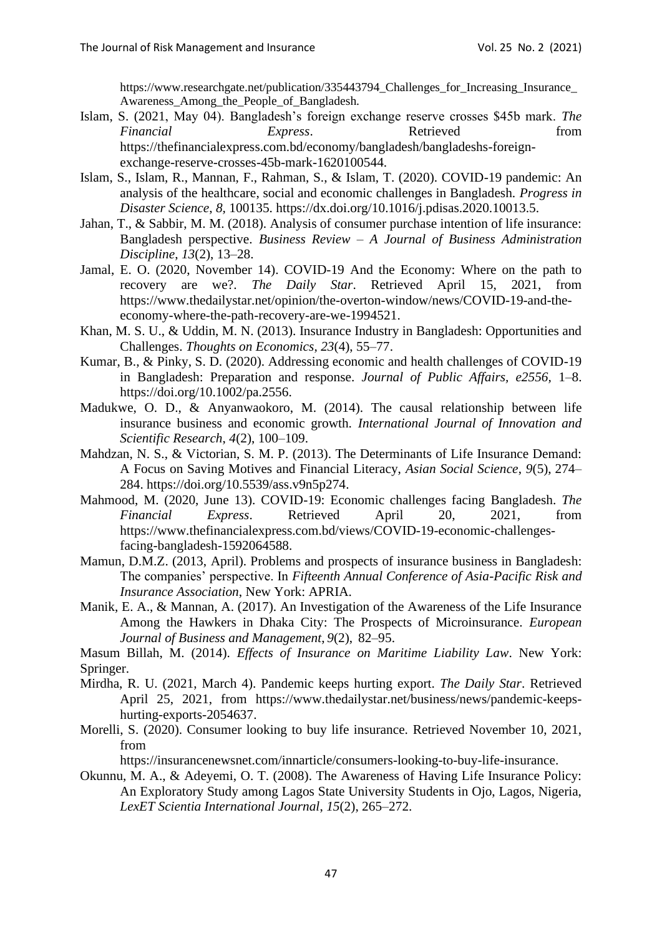https://www.researchgate.net/publication/335443794 Challenges for Increasing Insurance Awareness\_Among\_the\_People\_of\_Bangladesh.

- Islam, S. (2021, May 04). Bangladesh's foreign exchange reserve crosses \$45b mark. *The Financial Express.* Retrieved **heating Financial Express.** https://thefinancialexpress.com.bd/economy/bangladesh/bangladeshs-foreignexchange-reserve-crosses-45b-mark-1620100544.
- Islam, S., Islam, R., Mannan, F., Rahman, S., & Islam, T. (2020). COVID-19 pandemic: An analysis of the healthcare, social and economic challenges in Bangladesh. *Progress in Disaster Science*, *8,* 100135. https://dx.doi.org/10.1016/j.pdisas.2020.10013.5.
- Jahan, T., & Sabbir, M. M. (2018). Analysis of consumer purchase intention of life insurance: Bangladesh perspective. *Business Review – A Journal of Business Administration Discipline*, *13*(2), 13–28.
- Jamal, E. O. (2020, November 14). COVID-19 And the Economy: Where on the path to recovery are we?. *The Daily Star*. Retrieved April 15, 2021, from https://www.thedailystar.net/opinion/the-overton-window/news/COVID-19-and-theeconomy-where-the-path-recovery-are-we-1994521.
- Khan, M. S. U., & Uddin, M. N. (2013). Insurance Industry in Bangladesh: Opportunities and Challenges. *Thoughts on Economics*, *23*(4), 55–77.
- Kumar, B., & Pinky, S. D. (2020). Addressing economic and health challenges of COVID-19 in Bangladesh: Preparation and response. *Journal of Public Affairs, e2556,* 1–8. https://doi.org/10.1002/pa.2556.
- Madukwe, O. D., & Anyanwaokoro, M. (2014). The causal relationship between life insurance business and economic growth. *International Journal of Innovation and Scientific Research*, *4*(2), 100–109.
- Mahdzan, N. S., & Victorian, S. M. P. (2013). The Determinants of Life Insurance Demand: A Focus on Saving Motives and Financial Literacy, *Asian Social Science*, *9*(5), 274– 284. https://doi.org/10.5539/ass.v9n5p274.
- Mahmood, M. (2020, June 13). COVID-19: Economic challenges facing Bangladesh. *The Financial Express*. Retrieved April 20, 2021, from https://www.thefinancialexpress.com.bd/views/COVID-19-economic-challengesfacing-bangladesh-1592064588.
- Mamun, D.M.Z. (2013, April). Problems and prospects of insurance business in Bangladesh: The companies' perspective. In *Fifteenth Annual Conference of Asia-Pacific Risk and Insurance Association*, New York: APRIA.
- Manik, E. A., & Mannan, A. (2017). An Investigation of the Awareness of the Life Insurance Among the Hawkers in Dhaka City: The Prospects of Microinsurance. *European Journal of Business and Management*, *9*(2), 82–95.

Masum Billah, M. (2014). *Effects of Insurance on Maritime Liability Law*. New York: Springer.

- Mirdha, R. U. (2021, March 4). Pandemic keeps hurting export. *The Daily Star*. Retrieved April 25, 2021, from https://www.thedailystar.net/business/news/pandemic-keepshurting-exports-2054637.
- Morelli, S. (2020). Consumer looking to buy life insurance. Retrieved November 10, 2021, from

https://insurancenewsnet.com/innarticle/consumers-looking-to-buy-life-insurance.

Okunnu, M. A., & Adeyemi, O. T. (2008). The Awareness of Having Life Insurance Policy: An Exploratory Study among Lagos State University Students in Ojo, Lagos, Nigeria, *LexET Scientia International Journal*, *15*(2), 265–272.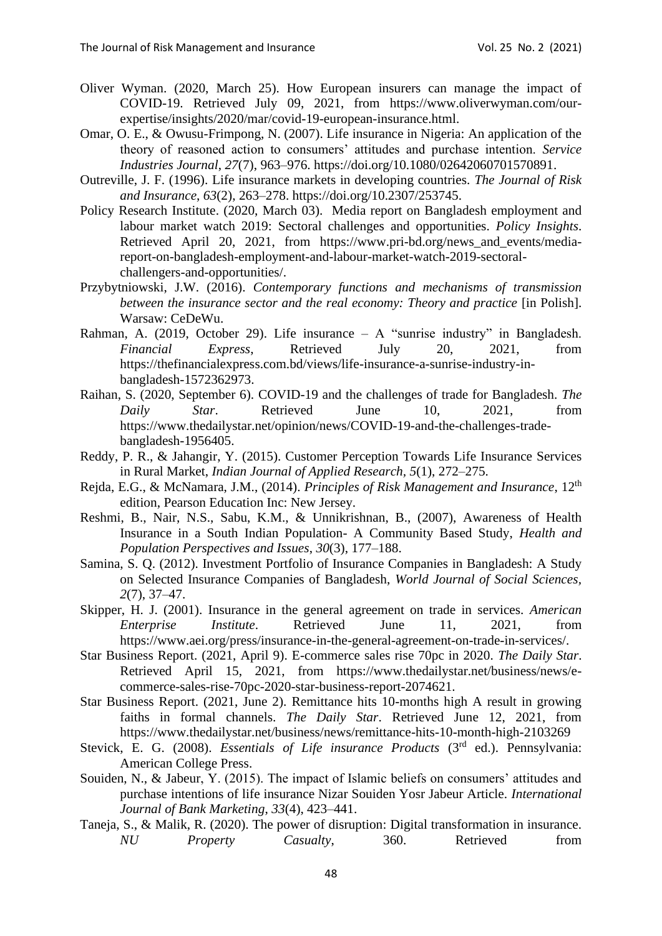- Oliver Wyman. (2020, March 25). How European insurers can manage the impact of COVID-19. Retrieved July 09, 2021, from https://www.oliverwyman.com/ourexpertise/insights/2020/mar/covid-19-european-insurance.html.
- Omar, O. E., & Owusu-Frimpong, N. (2007). Life insurance in Nigeria: An application of the theory of reasoned action to consumers' attitudes and purchase intention. *Service Industries Journal*, *27*(7), 963–976. https://doi.org/10.1080/02642060701570891.
- Outreville, J. F. (1996). Life insurance markets in developing countries. *The Journal of Risk and Insurance*, *63*(2), 263–278. https://doi.org/10.2307/253745.
- Policy Research Institute. (2020, March 03). Media report on Bangladesh employment and labour market watch 2019: Sectoral challenges and opportunities. *Policy Insights*. Retrieved April 20, 2021, from https://www.pri-bd.org/news and events/mediareport-on-bangladesh-employment-and-labour-market-watch-2019-sectoralchallengers-and-opportunities/.
- Przybytniowski, J.W. (2016). *Contemporary functions and mechanisms of transmission between the insurance sector and the real economy: Theory and practice* [in Polish]. Warsaw: CeDeWu.
- Rahman, A. (2019, October 29). Life insurance A "sunrise industry" in Bangladesh. *Financial Express*, Retrieved July 20, 2021, from https://thefinancialexpress.com.bd/views/life-insurance-a-sunrise-industry-inbangladesh-1572362973.
- Raihan, S. (2020, September 6). COVID-19 and the challenges of trade for Bangladesh. *The Daily Star*. Retrieved June 10, 2021, from https://www.thedailystar.net/opinion/news/COVID-19-and-the-challenges-tradebangladesh-1956405.
- Reddy, P. R., & Jahangir, Y. (2015). Customer Perception Towards Life Insurance Services in Rural Market, *Indian Journal of Applied Research, 5*(1), 272–275.
- Rejda, E.G., & McNamara, J.M., (2014). *Principles of Risk Management and Insurance*, 12th edition, Pearson Education Inc: New Jersey.
- Reshmi, B., Nair, N.S., Sabu, K.M., & Unnikrishnan, B., (2007), Awareness of Health Insurance in a South Indian Population- A Community Based Study, *Health and Population Perspectives and Issues*, *30*(3), 177–188.
- Samina, S. Q. (2012). Investment Portfolio of Insurance Companies in Bangladesh: A Study on Selected Insurance Companies of Bangladesh, *World Journal of Social Sciences, 2*(7), 37–47.
- Skipper, H. J. (2001). Insurance in the general agreement on trade in services. *American Enterprise Institute*. Retrieved June 11, 2021, from https://www.aei.org/press/insurance-in-the-general-agreement-on-trade-in-services/.
- Star Business Report. (2021, April 9). E-commerce sales rise 70pc in 2020. *The Daily Star*. Retrieved April 15, 2021, from https://www.thedailystar.net/business/news/ecommerce-sales-rise-70pc-2020-star-business-report-2074621.
- Star Business Report. (2021, June 2). Remittance hits 10-months high A result in growing faiths in formal channels. *The Daily Star*. Retrieved June 12, 2021, from https://www.thedailystar.net/business/news/remittance-hits-10-month-high-2103269
- Stevick, E. G. (2008). *Essentials of Life insurance Products* (3<sup>rd</sup> ed.). Pennsylvania: American College Press.
- Souiden, N., & Jabeur, Y. (2015). The impact of Islamic beliefs on consumers' attitudes and purchase intentions of life insurance Nizar Souiden Yosr Jabeur Article. *International Journal of Bank Marketing*, *33*(4), 423–441.
- Taneja, S., & Malik, R. (2020). The power of disruption: Digital transformation in insurance. *NU Property Casualty*, 360. Retrieved from